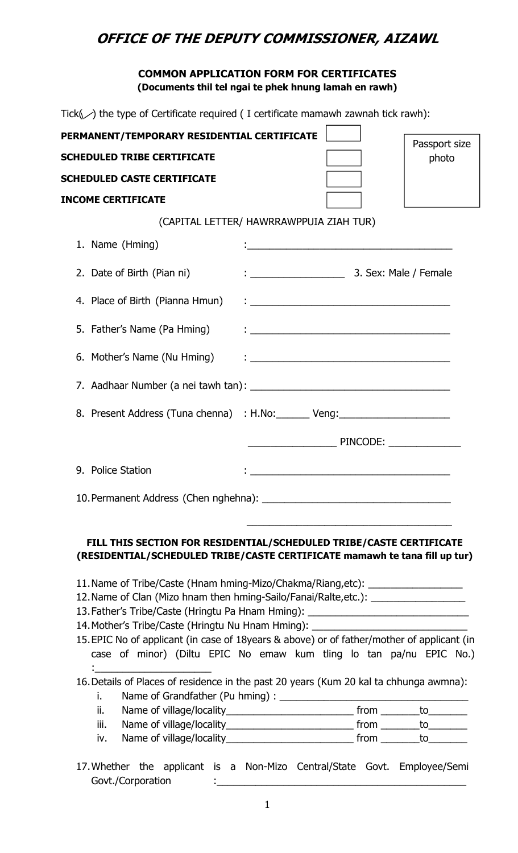# **OFFICE OF THE DEPUTY COMMISSIONER, AIZAWL**

## **COMMON APPLICATION FORM FOR CERTIFICATES (Documents thil tel ngai te phek hnung lamah en rawh)**

Tick $(\swarrow)$  the type of Certificate required ( I certificate mamawh zawnah tick rawh):

| PERMANENT/TEMPORARY RESIDENTIAL CERTIFICATE                                                                                                                                                                                                                                                                               |                                                                                                                                                                                                                                  |                                                                                                                        | Passport size |
|---------------------------------------------------------------------------------------------------------------------------------------------------------------------------------------------------------------------------------------------------------------------------------------------------------------------------|----------------------------------------------------------------------------------------------------------------------------------------------------------------------------------------------------------------------------------|------------------------------------------------------------------------------------------------------------------------|---------------|
| <b>SCHEDULED TRIBE CERTIFICATE</b>                                                                                                                                                                                                                                                                                        |                                                                                                                                                                                                                                  |                                                                                                                        | photo         |
| <b>SCHEDULED CASTE CERTIFICATE</b>                                                                                                                                                                                                                                                                                        |                                                                                                                                                                                                                                  |                                                                                                                        |               |
| <b>INCOME CERTIFICATE</b>                                                                                                                                                                                                                                                                                                 |                                                                                                                                                                                                                                  |                                                                                                                        |               |
|                                                                                                                                                                                                                                                                                                                           | (CAPITAL LETTER/ HAWRRAWPPUIA ZIAH TUR)                                                                                                                                                                                          |                                                                                                                        |               |
| 1. Name (Hming)                                                                                                                                                                                                                                                                                                           |                                                                                                                                                                                                                                  | <u> 1990 - Johann John Harry Harry Harry Harry Harry Harry Harry Harry Harry Harry Harry Harry Harry Harry Harry H</u> |               |
| 2. Date of Birth (Pian ni)                                                                                                                                                                                                                                                                                                |                                                                                                                                                                                                                                  |                                                                                                                        |               |
| 4. Place of Birth (Pianna Hmun)                                                                                                                                                                                                                                                                                           | <u> 1999 - Johann John Stein, markin f</u>                                                                                                                                                                                       |                                                                                                                        |               |
| 5. Father's Name (Pa Hming)                                                                                                                                                                                                                                                                                               | $\ddot{ }$ , and the contract of the contract of the contract of the contract of the contract of the contract of the contract of the contract of the contract of the contract of the contract of the contract of the contract of |                                                                                                                        |               |
|                                                                                                                                                                                                                                                                                                                           |                                                                                                                                                                                                                                  |                                                                                                                        |               |
|                                                                                                                                                                                                                                                                                                                           |                                                                                                                                                                                                                                  |                                                                                                                        |               |
| 8. Present Address (Tuna chenna) : H.No: Veng: Veng:                                                                                                                                                                                                                                                                      |                                                                                                                                                                                                                                  |                                                                                                                        |               |
|                                                                                                                                                                                                                                                                                                                           |                                                                                                                                                                                                                                  |                                                                                                                        |               |
| 9. Police Station                                                                                                                                                                                                                                                                                                         |                                                                                                                                                                                                                                  |                                                                                                                        |               |
| 10. Permanent Address (Chen nghehna):                                                                                                                                                                                                                                                                                     |                                                                                                                                                                                                                                  |                                                                                                                        |               |
| FILL THIS SECTION FOR RESIDENTIAL/SCHEDULED TRIBE/CASTE CERTIFICATE<br>(RESIDENTIAL/SCHEDULED TRIBE/CASTE CERTIFICATE mamawh te tana fill up tur)<br>11. Name of Tribe/Caste (Hnam hming-Mizo/Chakma/Riang, etc): ___________________<br>12. Name of Clan (Mizo hnam then hming-Sailo/Fanai/Ralte, etc.): _______________ |                                                                                                                                                                                                                                  |                                                                                                                        |               |
| 13. Father's Tribe/Caste (Hringtu Pa Hnam Hming): ______________________________                                                                                                                                                                                                                                          |                                                                                                                                                                                                                                  |                                                                                                                        |               |
| 14. Mother's Tribe/Caste (Hringtu Nu Hnam Hming): ______________________________                                                                                                                                                                                                                                          |                                                                                                                                                                                                                                  |                                                                                                                        |               |
| 15. EPIC No of applicant (in case of 18years & above) or of father/mother of applicant (in                                                                                                                                                                                                                                |                                                                                                                                                                                                                                  |                                                                                                                        |               |
| case of minor) (Diltu EPIC No emaw kum tling lo tan pa/nu EPIC No.)<br>the contract of the contract of the contract of the                                                                                                                                                                                                |                                                                                                                                                                                                                                  |                                                                                                                        |               |
| 16. Details of Places of residence in the past 20 years (Kum 20 kal ta chhunga awmna):                                                                                                                                                                                                                                    |                                                                                                                                                                                                                                  |                                                                                                                        |               |
| i.                                                                                                                                                                                                                                                                                                                        |                                                                                                                                                                                                                                  |                                                                                                                        |               |
| ii.                                                                                                                                                                                                                                                                                                                       |                                                                                                                                                                                                                                  |                                                                                                                        |               |
| iii.                                                                                                                                                                                                                                                                                                                      |                                                                                                                                                                                                                                  |                                                                                                                        |               |
| iv.                                                                                                                                                                                                                                                                                                                       |                                                                                                                                                                                                                                  |                                                                                                                        |               |

17.Whether the applicant is a Non-Mizo Central/State Govt. Employee/Semi Govt./Corporation :\_